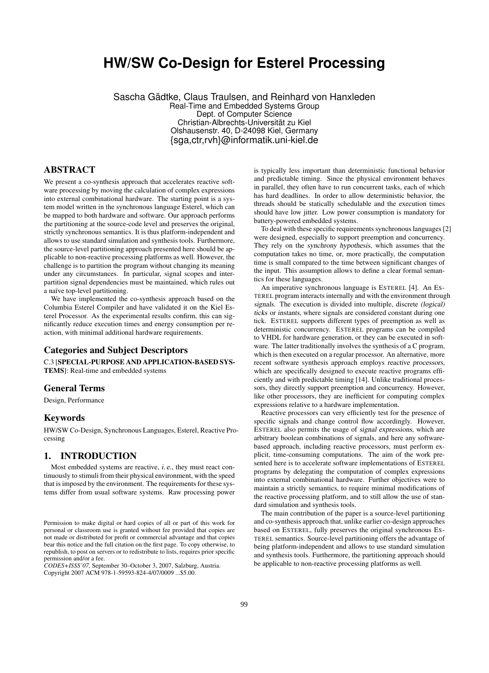# **HW/SW Co-Design for Esterel Processing**

Sascha Gädtke, Claus Traulsen, and Reinhard von Hanxleden Real-Time and Embedded Systems Group Dept. of Computer Science Christian-Albrechts-Universität zu Kiel Olshausenstr. 40, D-24098 Kiel, Germany {sga,ctr,rvh}@informatik.uni-kiel.de

## ABSTRACT

We present a co-synthesis approach that accelerates reactive software processing by moving the calculation of complex expressions into external combinational hardware. The starting point is a system model written in the synchronous language Esterel, which can be mapped to both hardware and software. Our approach performs the partitioning at the source-code level and preserves the original, strictly synchronous semantics. It is thus platform-independent and allows to use standard simulation and synthesis tools. Furthermore, the source-level partitioning approach presented here should be applicable to non-reactive processing platforms as well. However, the challenge is to partition the program without changing its meaning under any circumstances. In particular, signal scopes and interpartition signal dependencies must be maintained, which rules out a naïve top-level partitioning.

We have implemented the co-synthesis approach based on the Columbia Esterel Compiler and have validated it on the Kiel Esterel Processor. As the experimental results confirm, this can significantly reduce execution times and energy consumption per reaction, with minimal additional hardware requirements.

#### Categories and Subject Descriptors

C.3 [SPECIAL-PURPOSE AND APPLICATION-BASED SYS-TEMS]: Real-time and embedded systems

## General Terms

Design, Performance

#### Keywords

HW/SW Co-Design, Synchronous Languages, Esterel, Reactive Processing

### 1. INTRODUCTION

Most embedded systems are reactive, i. e., they must react continuously to stimuli from their physical environment, with the speed that is imposed by the environment. The requirements for these systems differ from usual software systems. Raw processing power

*CODES+ISSS'07,* September 30–October 3, 2007, Salzburg, Austria. Copyright 2007 ACM 978-1-59593-824-4/07/0009 ...\$5.00.

is typically less important than deterministic functional behavior and predictable timing. Since the physical environment behaves in parallel, they often have to run concurrent tasks, each of which has hard deadlines. In order to allow deterministic behavior, the threads should be statically schedulable and the execution times should have low jitter. Low power consumption is mandatory for battery-powered embedded systems.

To deal with these specific requirements synchronous languages [2] were designed, especially to support preemption and concurrency. They rely on the synchrony hypothesis, which assumes that the computation takes no time, or, more practically, the computation time is small compared to the time between significant changes of the input. This assumption allows to define a clear formal semantics for these languages.

An imperative synchronous language is ESTEREL [4]. An ES-TEREL program interacts internally and with the environment through signals. The execution is divided into multiple, discrete (logical) ticks or instants, where signals are considered constant during one tick. ESTEREL supports different types of preemption as well as deterministic concurrency. ESTEREL programs can be compiled to VHDL for hardware generation, or they can be executed in software. The latter traditionally involves the synthesis of a C program, which is then executed on a regular processor. An alternative, more recent software synthesis approach employs reactive processors, which are specifically designed to execute reactive programs efficiently and with predictable timing [14]. Unlike traditional processors, they directly support preemption and concurrency. However, like other processors, they are inefficient for computing complex expressions relative to a hardware implementation.

Reactive processors can very efficiently test for the presence of specific signals and change control flow accordingly. However, ESTEREL also permits the usage of signal expressions, which are arbitrary boolean combinations of signals, and here any softwarebased approach, including reactive processors, must perform explicit, time-consuming computations. The aim of the work presented here is to accelerate software implementations of ESTEREL programs by delegating the computation of complex expressions into external combinational hardware. Further objectives were to maintain a strictly semantics, to require minimal modifications of the reactive processing platform, and to still allow the use of standard simulation and synthesis tools.

The main contribution of the paper is a source-level partitioning and co-synthesis approach that, unlike earlier co-design approaches based on ESTEREL, fully preserves the original synchronous ES-TEREL semantics. Source-level partitioning offers the advantage of being platform-independent and allows to use standard simulation and synthesis tools. Furthermore, the partitioning approach should be applicable to non-reactive processing platforms as well.

Permission to make digital or hard copies of all or part of this work for personal or classroom use is granted without fee provided that copies are not made or distributed for profit or commercial advantage and that copies bear this notice and the full citation on the first page. To copy otherwise, to republish, to post on servers or to redistribute to lists, requires prior specific permission and/or a fee.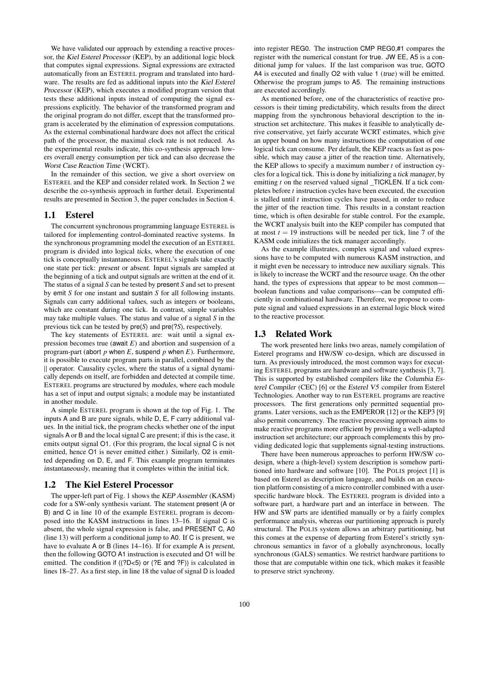We have validated our approach by extending a reactive processor, the Kiel Esterel Processor (KEP), by an additional logic block that computes signal expressions. Signal expressions are extracted automatically from an ESTEREL program and translated into hardware. The results are fed as additional inputs into the Kiel Esterel Processor (KEP), which executes a modified program version that tests these additional inputs instead of computing the signal expressions explicitly. The behavior of the transformed program and the original program do not differ, except that the transformed program is accelerated by the elimination of expression computations. As the external combinational hardware does not affect the critical path of the processor, the maximal clock rate is not reduced. As the experimental results indicate, this co-synthesis approach lowers overall energy consumption per tick and can also decrease the Worst Case Reaction Time (WCRT).

In the remainder of this section, we give a short overview on ESTEREL and the KEP and consider related work. In Section 2 we describe the co-synthesis approach in further detail. Experimental results are presented in Section 3, the paper concludes in Section 4.

#### 1.1 Esterel

The concurrent synchronous programming language ESTEREL is tailored for implementing control-dominated reactive systems. In the synchronous programming model the execution of an ESTEREL program is divided into logical ticks, where the execution of one tick is conceptually instantaneous. ESTEREL's signals take exactly one state per tick: present or absent. Input signals are sampled at the beginning of a tick and output signals are written at the end of it. The status of a signal *S* can be tested by present *S* and set to present by emit *S* for one instant and sustain *S* for all following instants. Signals can carry additional values, such as integers or booleans, which are constant during one tick. In contrast, simple variables may take multiple values. The status and value of a signal *S* in the previous tick can be tested by pre(*S*) and pre(?*S*), respectively.

The key statements of ESTEREL are: wait until a signal expression becomes true (await *E*) and abortion and suspension of a program-part (abort *p* when *E*, suspend *p* when *E*). Furthermore, it is possible to execute program parts in parallel, combined by the || operator. Causality cycles, where the status of a signal dynamically depends on itself, are forbidden and detected at compile time. ESTEREL programs are structured by modules, where each module has a set of input and output signals; a module may be instantiated in another module.

A simple ESTEREL program is shown at the top of Fig. 1. The inputs A and B are pure signals, while D, E, F carry additional values. In the initial tick, the program checks whether one of the input signals A or B and the local signal C are present; if this is the case, it emits output signal O1. (For this program, the local signal C is not emitted, hence O1 is never emitted either.) Similarly, O2 is emitted depending on D, E, and F. This example program terminates instantaneously, meaning that it completes within the initial tick.

#### 1.2 The Kiel Esterel Processor

The upper-left part of Fig. 1 shows the KEP Assembler (KASM) code for a SW-only synthesis variant. The statement present (A or B) and C in line 10 of the example ESTEREL program is decomposed into the KASM instructions in lines 13–16. If signal C is absent, the whole signal expression is false, and PRESENT C, A0 (line 13) will perform a conditional jump to A0. If C is present, we have to evaluate A or B (lines 14–16). If for example A is present, then the following GOTO A1 instruction is executed and O1 will be emitted. The condition if ((?D<5) or (?E and ?F)) is calculated in lines 18–27. As a first step, in line 18 the value of signal D is loaded into register REG0. The instruction CMP REG0,#1 compares the register with the numerical constant for true. JW EE, A5 is a conditional jump for values. If the last comparison was true, GOTO A4 is executed and finally O2 with value 1 (true) will be emitted. Otherwise the program jumps to A5. The remaining instructions are executed accordingly.

As mentioned before, one of the characteristics of reactive processors is their timing predictability, which results from the direct mapping from the synchronous behavioral description to the instruction set architecture. This makes it feasible to analytically derive conservative, yet fairly accurate WCRT estimates, which give an upper bound on how many instructions the computation of one logical tick can consume. Per default, the KEP reacts as fast as possible, which may cause a jitter of the reaction time. Alternatively, the KEP allows to specify a maximum number *t* of instruction cycles for a logical tick. This is done by initializing a tick manager, by emitting *t* on the reserved valued signal \_TICKLEN. If a tick completes before *t* instruction cycles have been executed, the execution is stalled until *t* instruction cycles have passed, in order to reduce the jitter of the reaction time. This results in a constant reaction time, which is often desirable for stable control. For the example, the WCRT analysis built into the KEP compiler has computed that at most  $t = 19$  instructions will be needed per tick, line 7 of the KASM code initializes the tick manager accordingly.

As the example illustrates, complex signal and valued expressions have to be computed with numerous KASM instruction, and it might even be necessary to introduce new auxiliary signals. This is likely to increase the WCRT and the resource usage. On the other hand, the types of expressions that appear to be most common boolean functions and value comparisons—can be computed efficiently in combinational hardware. Therefore, we propose to compute signal and valued expressions in an external logic block wired to the reactive processor.

#### 1.3 Related Work

The work presented here links two areas, namely compilation of Esterel programs and HW/SW co-design, which are discussed in turn. As previously introduced, the most common ways for executing ESTEREL programs are hardware and software synthesis [3, 7]. This is supported by established compilers like the Columbia Esterel Compiler (CEC) [6] or the Esterel V5 compiler from Esterel Technologies. Another way to run ESTEREL programs are reactive processors. The first generations only permitted sequential programs. Later versions, such as the EMPEROR [12] or the KEP3 [9] also permit concurrency. The reactive processing approach aims to make reactive programs more efficient by providing a well-adapted instruction set architecture; our approach complements this by providing dedicated logic that supplements signal-testing instructions.

There have been numerous approaches to perform HW/SW codesign, where a (high-level) system description is somehow partitioned into hardware and software [10]. The POLIS project [1] is based on Esterel as description language, and builds on an execution platform consisting of a micro controller combined with a userspecific hardware block. The ESTEREL program is divided into a software part, a hardware part and an interface in between. The HW and SW parts are identified manually or by a fairly complex performance analysis, whereas our partitioning approach is purely structural. The POLIS system allows an arbitrary partitioning, but this comes at the expense of departing from Esterel's strictly synchronous semantics in favor of a globally asynchronous, locally synchronous (GALS) semantics. We restrict hardware partitions to those that are computable within one tick, which makes it feasible to preserve strict synchrony.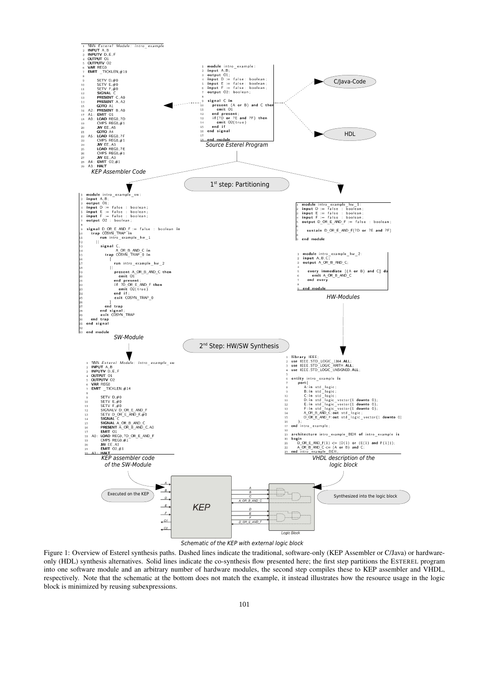

Schematic of the KEP with external logic block

Figure 1: Overview of Esterel synthesis paths. Dashed lines indicate the traditional, software-only (KEP Assembler or C/Java) or hardwareonly (HDL) synthesis alternatives. Solid lines indicate the co-synthesis flow presented here; the first step partitions the ESTEREL program into one software module and an arbitrary number of hardware modules, the second step compiles these to KEP assembler and VHDL, respectively. Note that the schematic at the bottom does not match the example, it instead illustrates how the resource usage in the logic block is minimized by reusing subexpressions.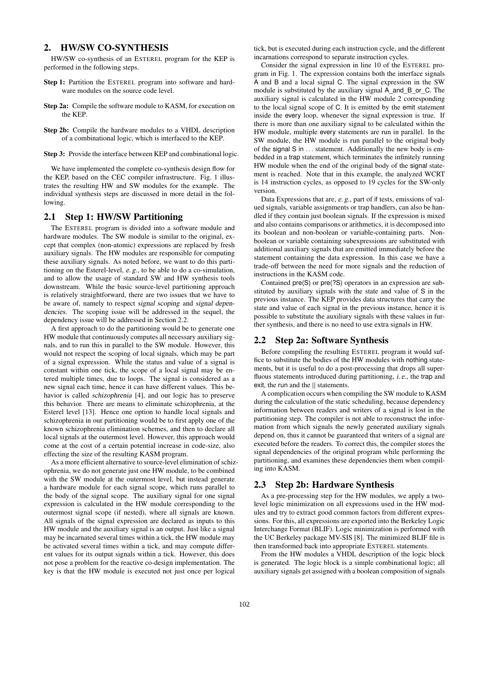### 2. HW/SW CO-SYNTHESIS

HW/SW co-synthesis of an ESTEREL program for the KEP is performed in the following steps.

- Step 1: Partition the ESTEREL program into software and hardware modules on the source code level.
- Step 2a: Compile the software module to KASM, for execution on the KEP.
- Step 2b: Compile the hardware modules to a VHDL description of a combinational logic, which is interfaced to the KEP.
- Step 3: Provide the interface between KEP and combinational logic.

We have implemented the complete co-synthesis design flow for the KEP, based on the CEC compiler infrastructure. Fig. 1 illustrates the resulting HW and SW modules for the example. The individual synthesis steps are discussed in more detail in the following.

#### 2.1 Step 1: HW/SW Partitioning

The ESTEREL program is divided into a software module and hardware modules. The SW module is similar to the original, except that complex (non-atomic) expressions are replaced by fresh auxiliary signals. The HW modules are responsible for computing these auxiliary signals. As noted before, we want to do this partitioning on the Esterel-level, e. g., to be able to do a co-simulation, and to allow the usage of standard SW and HW synthesis tools downstream. While the basic source-level partitioning approach is relatively straightforward, there are two issues that we have to be aware of, namely to respect signal scoping and signal dependencies. The scoping issue will be addressed in the sequel, the dependency issue will be addressed in Section 2.2.

A first approach to do the partitioning would be to generate one HW module that continuously computes all necessary auxiliary signals, and to run this in parallel to the SW module. However, this would not respect the scoping of local signals, which may be part of a signal expression. While the status and value of a signal is constant within one tick, the scope of a local signal may be entered multiple times, due to loops. The signal is considered as a new signal each time, hence it can have different values. This behavior is called schizophrenia [4], and our logic has to preserve this behavior. There are means to eliminate schizophrenia, at the Esterel level [13]. Hence one option to handle local signals and schizophrenia in our partitioning would be to first apply one of the known schizophrenia elimination schemes, and then to declare all local signals at the outermost level. However, this approach would come at the cost of a certain potential increase in code-size, also effecting the size of the resulting KASM program.

As a more efficient alternative to source-level elimination of schizophrenia, we do not generate just one HW module, to be combined with the SW module at the outermost level, but instead generate a hardware module for each signal scope, which runs parallel to the body of the signal scope. The auxiliary signal for one signal expression is calculated in the HW module corresponding to the outermost signal scope (if nested), where all signals are known. All signals of the signal expression are declared as inputs to this HW module and the auxiliary signal is an output. Just like a signal may be incarnated several times within a tick, the HW module may be activated several times within a tick, and may compute different values for its output signals within a tick. However, this does not pose a problem for the reactive co-design implementation. The key is that the HW module is executed not just once per logical

tick, but is executed during each instruction cycle, and the different incarnations correspond to separate instruction cycles.

Consider the signal expression in line 10 of the ESTEREL program in Fig. 1. The expression contains both the interface signals A and B and a local signal C. The signal expression in the SW module is substituted by the auxiliary signal A\_and\_B\_or\_C. The auxiliary signal is calculated in the HW module 2 corresponding to the local signal scope of C. It is emitted by the emit statement inside the every loop, whenever the signal expression is true. If there is more than one auxiliary signal to be calculated within the HW module, multiple every statements are run in parallel. In the SW module, the HW module is run parallel to the original body of the signal S in ... statement. Additionally the new body is embedded in a trap statement, which terminates the infinitely running HW module when the end of the original body of the signal statement is reached. Note that in this example, the analyzed WCRT is 14 instruction cycles, as opposed to 19 cycles for the SW-only version.

Data Expressions that are, e. g., part of if tests, emissions of valued signals, variable assignments or trap handlers, can also be handled if they contain just boolean signals. If the expression is mixed and also contains comparisons or arithmetics, it is decomposed into its boolean and non-boolean or variable-containing parts. Nonboolean or variable containing subexpressions are substituted with additional auxiliary signals that are emitted immediately before the statement containing the data expression. In this case we have a trade-off between the need for more signals and the reduction of instructions in the KASM code.

Contained pre(S) or pre(?S) operators in an expression are substituted by auxiliary signals with the state and value of S in the previous instance. The KEP provides data structures that carry the state and value of each signal in the previous instance, hence it is possible to substitute the auxiliary signals with these values in further synthesis, and there is no need to use extra signals in HW.

### 2.2 Step 2a: Software Synthesis

Before compiling the resulting ESTEREL program it would suffice to substitute the bodies of the HW modules with nothing statements, but it is useful to do a post-processing that drops all superfluous statements introduced during partitioning, i. e., the trap and exit, the run and the  $\parallel$  statements.

A complication occurs when compiling the SW module to KASM during the calculation of the static scheduling, because dependency information between readers and writers of a signal is lost in the partitioning step. The compiler is not able to reconstruct the information from which signals the newly generated auxiliary signals depend on, thus it cannot be guaranteed that writers of a signal are executed before the readers. To correct this, the compiler stores the signal dependencies of the original program while performing the partitioning, and examines these dependencies them when compiling into KASM.

#### 2.3 Step 2b: Hardware Synthesis

As a pre-processing step for the HW modules, we apply a twolevel logic minimization on all expressions used in the HW modules and try to extract good common factors from different expressions. For this, all expressions are exported into the Berkeley Logic Interchange Format (BLIF). Logic minimization is performed with the UC Berkeley package MV-SIS [8]. The minimized BLIF file is then transformed back into appropriate ESTEREL statements.

From the HW modules a VHDL description of the logic block is generated. The logic block is a simple combinational logic; all auxiliary signals get assigned with a boolean composition of signals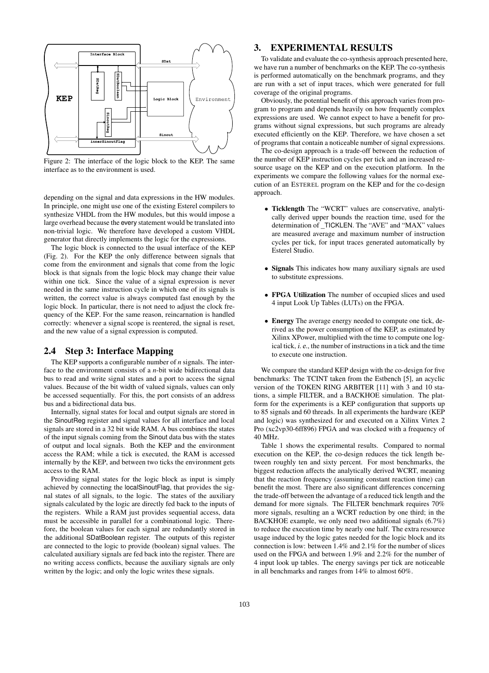

Figure 2: The interface of the logic block to the KEP. The same interface as to the environment is used.

depending on the signal and data expressions in the HW modules. In principle, one might use one of the existing Esterel compilers to synthesize VHDL from the HW modules, but this would impose a large overhead because the every statement would be translated into non-trivial logic. We therefore have developed a custom VHDL generator that directly implements the logic for the expressions.

The logic block is connected to the usual interface of the KEP (Fig. 2). For the KEP the only difference between signals that come from the environment and signals that come from the logic block is that signals from the logic block may change their value within one tick. Since the value of a signal expression is never needed in the same instruction cycle in which one of its signals is written, the correct value is always computed fast enough by the logic block. In particular, there is not need to adjust the clock frequency of the KEP. For the same reason, reincarnation is handled correctly: whenever a signal scope is reentered, the signal is reset, and the new value of a signal expression is computed.

### 2.4 Step 3: Interface Mapping

The KEP supports a configurable number of *n* signals. The interface to the environment consists of a *n*-bit wide bidirectional data bus to read and write signal states and a port to access the signal values. Because of the bit width of valued signals, values can only be accessed sequentially. For this, the port consists of an address bus and a bidirectional data bus.

Internally, signal states for local and output signals are stored in the SinoutReg register and signal values for all interface and local signals are stored in a 32 bit wide RAM. A bus combines the states of the input signals coming from the Sinout data bus with the states of output and local signals. Both the KEP and the environment access the RAM; while a tick is executed, the RAM is accessed internally by the KEP, and between two ticks the environment gets access to the RAM.

Providing signal states for the logic block as input is simply achieved by connecting the localSinoutFlag, that provides the signal states of all signals, to the logic. The states of the auxiliary signals calculated by the logic are directly fed back to the inputs of the registers. While a RAM just provides sequential access, data must be accessible in parallel for a combinational logic. Therefore, the boolean values for each signal are redundantly stored in the additional SDatBoolean register. The outputs of this register are connected to the logic to provide (boolean) signal values. The calculated auxiliary signals are fed back into the register. There are no writing access conflicts, because the auxiliary signals are only written by the logic; and only the logic writes these signals.

### 3. EXPERIMENTAL RESULTS

To validate and evaluate the co-synthesis approach presented here, we have run a number of benchmarks on the KEP. The co-synthesis is performed automatically on the benchmark programs, and they are run with a set of input traces, which were generated for full coverage of the original programs.

Obviously, the potential benefit of this approach varies from program to program and depends heavily on how frequently complex expressions are used. We cannot expect to have a benefit for programs without signal expressions, but such programs are already executed efficiently on the KEP. Therefore, we have chosen a set of programs that contain a noticeable number of signal expressions.

The co-design approach is a trade-off between the reduction of the number of KEP instruction cycles per tick and an increased resource usage on the KEP and on the execution platform. In the experiments we compare the following values for the normal execution of an ESTEREL program on the KEP and for the co-design approach.

- Ticklength The "WCRT" values are conservative, analytically derived upper bounds the reaction time, used for the determination of \_TICKLEN. The "AVE" and "MAX" values are measured average and maximum number of instruction cycles per tick, for input traces generated automatically by Esterel Studio.
- Signals This indicates how many auxiliary signals are used to substitute expressions.
- FPGA Utilization The number of occupied slices and used 4 input Look Up Tables (LUTs) on the FPGA.
- **Energy** The average energy needed to compute one tick, derived as the power consumption of the KEP, as estimated by Xilinx XPower, multiplied with the time to compute one logical tick, i. e., the number of instructions in a tick and the time to execute one instruction.

We compare the standard KEP design with the co-design for five benchmarks: The TCINT taken from the Estbench [5], an acyclic version of the TOKEN RING ARBITER [11] with 3 and 10 stations, a simple FILTER, and a BACKHOE simulation. The platform for the experiments is a KEP configuration that supports up to 85 signals and 60 threads. In all experiments the hardware (KEP and logic) was synthesized for and executed on a Xilinx Virtex 2 Pro (xc2vp30-6ff896) FPGA and was clocked with a frequency of 40 MHz.

Table 1 shows the experimental results. Compared to normal execution on the KEP, the co-design reduces the tick length between roughly ten and sixty percent. For most benchmarks, the biggest reduction affects the analytically derived WCRT, meaning that the reaction frequency (assuming constant reaction time) can benefit the most. There are also significant differences concerning the trade-off between the advantage of a reduced tick length and the demand for more signals. The FILTER benchmark requires 70% more signals, resulting an a WCRT reduction by one third; in the BACKHOE example, we only need two additional signals (6.7%) to reduce the execution time by nearly one half. The extra resource usage induced by the logic gates needed for the logic block and its connection is low: between 1.4% and 2.1% for the number of slices used on the FPGA and between 1.9% and 2.2% for the number of 4 input look up tables. The energy savings per tick are noticeable in all benchmarks and ranges from 14% to almost 60%.